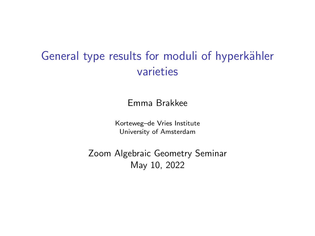## General type results for moduli of hyperkähler varieties

Emma Brakkee

Korteweg–de Vries Institute University of Amsterdam

Zoom Algebraic Geometry Seminar May 10, 2022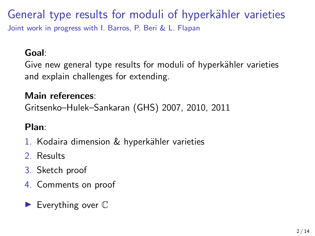### General type results for moduli of hyperkähler varieties Joint work in progress with I. Barros, P. Beri & L. Flapan

#### Goal:

Give new general type results for moduli of hyperkähler varieties and explain challenges for extending.

#### Main references:

Gritsenko–Hulek–Sankaran (GHS) 2007, 2010, 2011

#### Plan:

- 1. Kodaira dimension & hyperkähler varieties
- 2. Results
- 3. Sketch proof
- 4. Comments on proof
- $\blacktriangleright$  Everything over  $\mathbb C$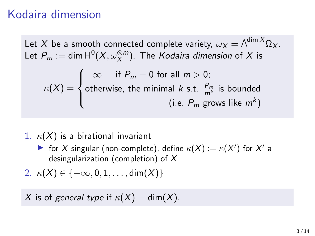### Kodaira dimension

Let  $X$  be a smooth connected complete variety,  $\omega_X = \wedge^{\dim X} \Omega_X.$ Let  $P_m:=\mathsf{dim}\,\mathsf{H}^0(X,\omega_X^{\otimes m}).$  The *Kodaira dimension* of  $X$  is  $\kappa(X) =$  $\sqrt{ }$  $\int$  $\overline{\mathcal{L}}$  $-\infty$  if  $P_m = 0$  for all  $m > 0$ ; otherwise, the minimal  $k$  s.t.  $\frac{P_m}{m^k}$  is bounded (i.e.  $P_m$  grows like  $m^k$ )

- 1.  $\kappa(X)$  is a birational invariant
	- ightharpoonup for X singular (non-complete), define  $\kappa(X) := \kappa(X')$  for X' a desingularization (completion) of  $X$
- 2.  $\kappa(X) \in \{-\infty, 0, 1, \ldots, \dim(X)\}\$

X is of general type if  $\kappa(X) = \dim(X)$ .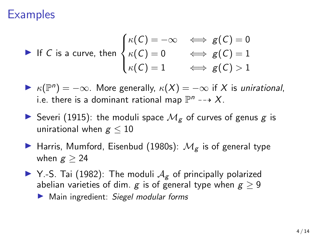### **Examples**

• If C is a curve, then 
$$
\begin{cases} \kappa(C) = -\infty & \iff g(C) = 0 \\ \kappa(C) = 0 & \iff g(C) = 1 \\ \kappa(C) = 1 & \iff g(C) > 1 \end{cases}
$$

 $\blacktriangleright$   $\kappa(\mathbb{P}^n) = -\infty$ . More generally,  $\kappa(X) = -\infty$  if X is unirational, i.e. there is a dominant rational map  $\mathbb{P}^n \dashrightarrow X$ .

- Severi (1915): the moduli space  $\mathcal{M}_{g}$  of curves of genus g is unirational when  $g < 10$
- **IF** Harris, Mumford, Eisenbud (1980s):  $M_{g}$  is of general type when  $g > 24$
- $\blacktriangleright$  Y.-S. Tai (1982): The moduli  $A_g$  of principally polarized abelian varieties of dim. g is of general type when  $g > 9$  $\blacktriangleright$  Main ingredient: Siegel modular forms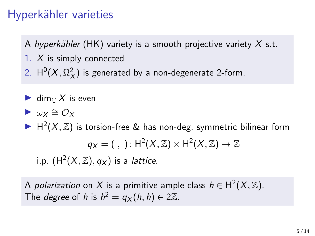## Hyperkähler varieties

A hyperkähler (HK) variety is a smooth projective variety  $X$  s.t.

- 1. X is simply connected
- 2.  $H^0(X, \Omega_X^2)$  is generated by a non-degenerate 2-form.
- $\blacktriangleright$  dime X is even
- $\blacktriangleright$   $\omega_X \cong \mathcal{O}_X$

 $\blacktriangleright$  H<sup>2</sup>(X, Z) is torsion-free & has non-deg. symmetric bilinear form  $q_X = ( , ) : \mathrm{H}^2(X, \mathbb{Z}) \times \mathrm{H}^2(X, \mathbb{Z}) \to \mathbb{Z}$ i.p.  $({\sf H}^2(X,{\mathbb Z}),q_X)$  is a *lattice*.

A *polarization* on  $X$  is a primitive ample class  $h\in\mathsf{H}^2(X,\mathbb{Z})$ . The *degree* of h is  $h^2 = q_X(h, h) \in 2\mathbb{Z}$ .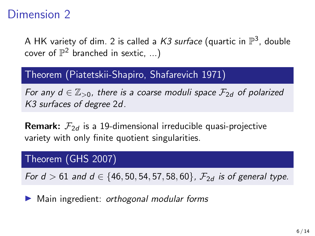### Dimension 2

A HK variety of dim. 2 is called a *K3 surface* (quartic in  $\mathbb{P}^3$ , double cover of  $\mathbb{P}^2$  branched in sextic, ...)

#### Theorem (Piatetskii-Shapiro, Shafarevich 1971)

For any  $d \in \mathbb{Z}_{>0}$ , there is a coarse moduli space  $\mathcal{F}_{2d}$  of polarized K3 surfaces of degree 2d.

**Remark:**  $\mathcal{F}_{2d}$  is a 19-dimensional irreducible quasi-projective variety with only finite quotient singularities.

#### Theorem (GHS 2007)

For  $d > 61$  and  $d \in \{46, 50, 54, 57, 58, 60\}$ ,  $\mathcal{F}_{2d}$  is of general type.

 $\blacktriangleright$  Main ingredient: orthogonal modular forms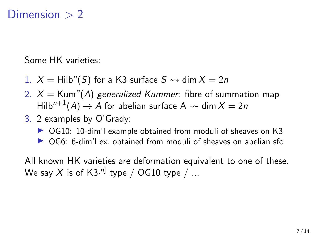### Dimension  $> 2$

Some HK varieties:

- 1.  $X = Hilb<sup>n</sup>(S)$  for a K3 surface  $S \rightsquigarrow \dim X = 2n$
- 2.  $X =$ Kum<sup>n</sup>(A) generalized Kummer: fibre of summation map Hilb<sup>n+1</sup>(A)  $\rightarrow$  A for abelian surface A  $\rightsquigarrow$  dim  $X = 2n$
- 3. 2 examples by O'Grady:
	- ▶ OG10: 10-dim'l example obtained from moduli of sheaves on K3
	- $\triangleright$  OG6: 6-dim'l ex. obtained from moduli of sheaves on abelian sfc

All known HK varieties are deformation equivalent to one of these. We say  $X$  is of K3 $^{[n]}$  type  $\hspace{0.1 cm}/\hspace{0.1 cm}$  OG10 type  $\hspace{0.1 cm}/\hspace{0.1 cm}$  ...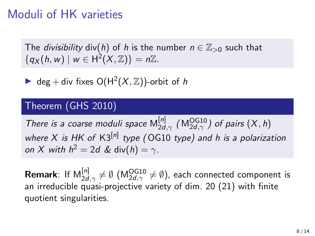### Moduli of HK varieties

The *divisibility* div(h) of h is the number  $n \in \mathbb{Z}_{>0}$  such that  ${q_X(h, w) \mid w \in H^2(X, \mathbb{Z})} = n\mathbb{Z}.$ 

**D** deg + div fixes  $O(H^2(X, \mathbb{Z}))$ -orbit of h

#### Theorem (GHS 2010)

There is a coarse moduli space  $M_{2d}^{[n]}$  $_{2d,\gamma}^{\left[ n\right] }$  (M $_{2d,\gamma}^{\text{OG10}}$ ) of pairs  $\left( X,h\right)$ where X is HK of  $K3^{[n]}$  type (OG10 type) and h is a polarization on X with  $h^2 = 2d$  & div $(h) = \gamma$ .

**Remark**: If  $\mathsf{M}_{2d,\gamma}^{[n]} \neq \emptyset$   $(\mathsf{M}_{2d,\gamma}^{\mathsf{OG10}} \neq \emptyset)$ , each connected component is an irreducible quasi-projective variety of dim. 20 (21) with finite quotient singularities.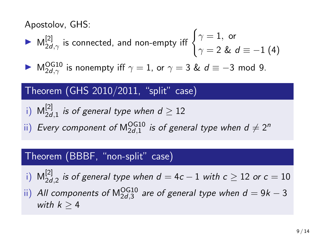Apostolov, GHS:

• M<sup>[2]</sup><sub>2d,γ</sub> is connected, and non-empty iff 
$$
\begin{cases} \gamma = 1, \text{ or} \\ \gamma = 2 \& \ d \equiv -1 \end{cases}
$$
(4)

►  $M_{2d,\gamma}^{OG10}$  is nonempty iff  $\gamma = 1$ , or  $\gamma = 3$  &  $d \equiv -3$  mod 9.

#### Theorem (GHS 2010/2011, "split" case)

i) 
$$
M_{2d,1}^{[2]}
$$
 is of general type when  $d \ge 12$ 

ii) Every component of  $\mathsf{M}^\mathsf{OG10}_{2d,1}$  is of general type when  $d \neq 2^n$ 

#### Theorem (BBBF, "non-split" case)

- i)  $M_{2d}^{[2]}$  $\frac{d^{2}I}{2d,2}$  is of general type when  $d=4c-1$  with  $c\geq 12$  or  $c=10$
- ii) All components of  $\mathsf{M}_{2d,3}^{\mathsf{OG10}}$  are of general type when  $d=9k-3$ with  $k \geq 4$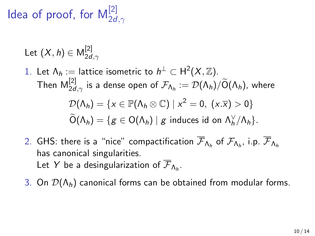ldea of proof, for  $\mathsf{M}_{2d,\gamma}^{[2]}$ 

Let 
$$
(X, h) \in M_{2d,\gamma}^{[2]}
$$

- 1. Let  $\Lambda_h:=$  lattice isometric to  $h^\perp\subset \mathsf{H}^2(X,\mathbb{Z}).$ Then  $\mathsf{M}_{2d,\gamma}^{[2]}$  is a dense open of  $\mathcal{F}_{\mathsf{\Lambda}_h}:=\mathcal{D}(\mathsf{\Lambda}_h)/\widetilde{\mathsf{O}}(\mathsf{\Lambda}_h)$ , where  $\mathcal{D}(\Lambda_h) = \{x \in \mathbb{P}(\Lambda_h \otimes \mathbb{C}) \mid x^2 = 0, (x.\overline{x}) > 0\}$  $\widetilde{O}(\Lambda_h) = \{ g \in O(\Lambda_h) \mid g \text{ induces id on } \Lambda_h^{\vee}/\Lambda_h \}.$
- 2. GHS: there is a "nice" compactification  ${\cal F}_{\Lambda_h}$  of  ${\cal F}_{\Lambda_h}$ , i.p.  ${\cal F}_{\Lambda_h}$ has canonical singularities. Let  $Y$  be a desingularization of  ${\mathcal F}_{\mathsf{\Lambda}_h}.$

3. On  $\mathcal{D}(\Lambda_h)$  canonical forms can be obtained from modular forms.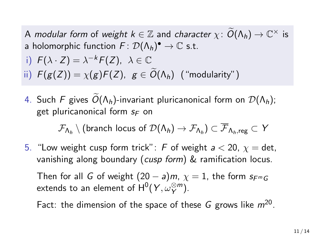A modular form of weight  $k \in \mathbb{Z}$  and character  $\chi: \widetilde{O}(\Lambda_h) \to \mathbb{C}^\times$  is a holomorphic function  $F\colon \mathcal{D}(\mathsf{\Lambda}_h)^\bullet \to \mathbb{C}$  s.t. i)  $F(\lambda \cdot Z) = \lambda^{-k} F(Z), \lambda \in \mathbb{C}$ 

ii)  $F(g(Z)) = \chi(g)F(Z), g \in \widetilde{O}(\Lambda_h)$  ("modularity")

4. Such F gives  $\widetilde{O}(\Lambda_h)$ -invariant pluricanonical form on  $\mathcal{D}(\Lambda_h)$ ; get pluricanonical form  $s_F$  on

 $\mathcal F_{\mathsf{\Lambda}_h}\setminus (\mathsf{branch}\,\, \mathsf{locus}\,\, \mathsf{of}\,\, \mathcal{D}(\mathsf{\Lambda}_h)\rightarrow \mathcal F_{\mathsf{\Lambda}_h})\subset \mathcal F_{\mathsf{\Lambda}_h, \mathsf{reg}}\subset \mathsf{Y}$ 

5. "Low weight cusp form trick": F of weight  $a < 20$ ,  $\chi =$  det, vanishing along boundary (cusp form) & ramification locus.

Then for all G of weight  $(20 - a)m$ ,  $\chi = 1$ , the form  $s_{F^mG}$ extends to an element of  $\mathsf{H}^0(Y,\omega^{\otimes m}_Y).$ 

Fact: the dimension of the space of these G grows like  $m^{20}$ .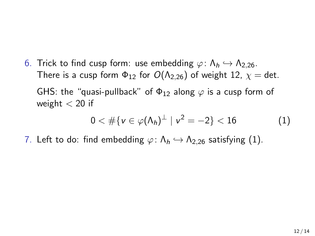6. Trick to find cusp form: use embedding  $\varphi: \Lambda_h \hookrightarrow \Lambda_{2,26}$ . There is a cusp form  $\Phi_{12}$  for  $O(\Lambda_{2,26})$  of weight 12,  $\chi =$  det. GHS: the "quasi-pullback" of  $\Phi_{12}$  along  $\varphi$  is a cusp form of weight  $< 20$  if

<span id="page-11-0"></span>
$$
0 < #\{v \in \varphi(\Lambda_h)^{\perp} \mid v^2 = -2\} < 16 \tag{1}
$$

7. Left to do: find embedding  $\varphi$ :  $\Lambda_h \hookrightarrow \Lambda_{2,26}$  satisfying [\(1\)](#page-11-0).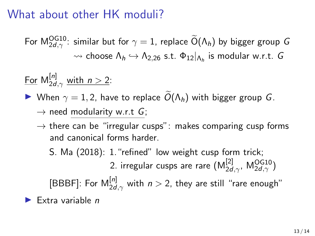## What about other HK moduli?

For  $\mathsf{M}_{2d,\gamma}^{\mathsf{OG10}}$ : similar but for  $\gamma=1$ , replace  $\mathsf{O}(\mathsf{\Lambda}_h)$  by bigger group  $G$  $\rightsquigarrow$  choose  $\Lambda_h \hookrightarrow \Lambda_{2,26}$  s.t.  $\Phi_{12}|_{\Lambda_h}$  is modular w.r.t. G

<u>For</u>  $M_{2d,\gamma}^{[n]}$  <u>with  $n > 2$ </u>:

 $\blacktriangleright$  When  $\gamma = 1, 2$ , have to replace  $\widetilde{O}(\Lambda_h)$  with bigger group G.

 $\rightarrow$  need modularity w.r.t G;

 $\rightarrow$  there can be "irregular cusps": makes comparing cusp forms and canonical forms harder.

S. Ma (2018): 1."refined" low weight cusp form trick; 2. irregular cusps are rare  $(\mathsf{M}^{[2]}_{2d,\gamma},\, \mathsf{M}^{OG10}_{2d,\gamma})$ [BBBF]: For  $\mathsf{M}_{2d,\gamma}^{[n]}$  with  $n>2$ , they are still "rare enough" Extra variable  $n$